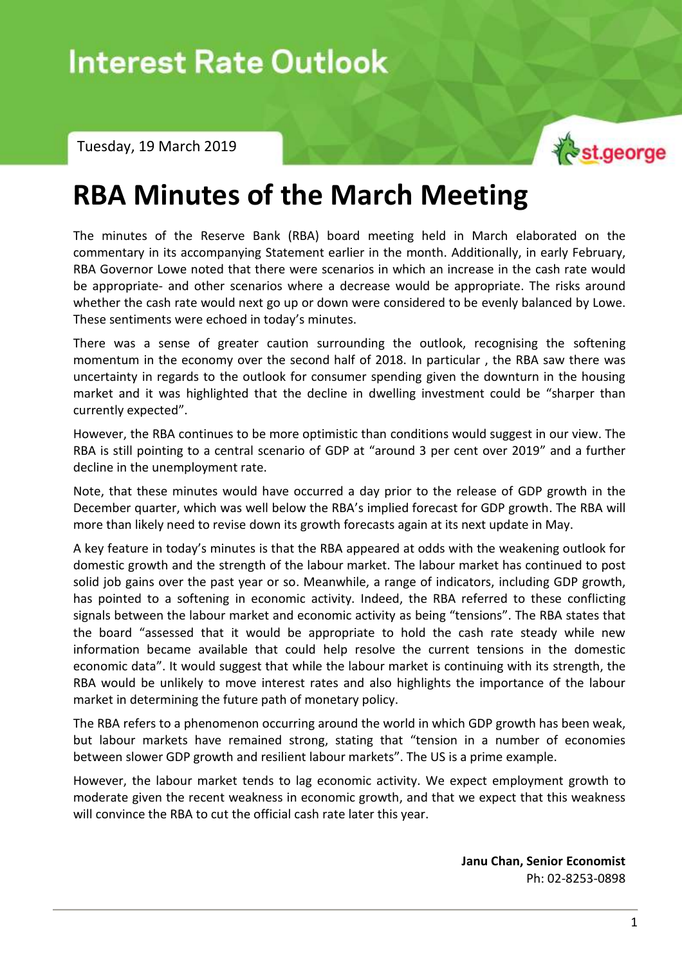Interest Rate Outlook – Tuesday, 19 March 2019

Tuesday, 19 March 2019



## **RBA Minutes of the March Meeting**

The minutes of the Reserve Bank (RBA) board meeting held in March elaborated on the commentary in its accompanying Statement earlier in the month. Additionally, in early February, RBA Governor Lowe noted that there were scenarios in which an increase in the cash rate would be appropriate- and other scenarios where a decrease would be appropriate. The risks around whether the cash rate would next go up or down were considered to be evenly balanced by Lowe. These sentiments were echoed in today's minutes.

There was a sense of greater caution surrounding the outlook, recognising the softening momentum in the economy over the second half of 2018. In particular , the RBA saw there was uncertainty in regards to the outlook for consumer spending given the downturn in the housing market and it was highlighted that the decline in dwelling investment could be "sharper than currently expected".

However, the RBA continues to be more optimistic than conditions would suggest in our view. The RBA is still pointing to a central scenario of GDP at "around 3 per cent over 2019" and a further decline in the unemployment rate.

Note, that these minutes would have occurred a day prior to the release of GDP growth in the December quarter, which was well below the RBA's implied forecast for GDP growth. The RBA will more than likely need to revise down its growth forecasts again at its next update in May.

A key feature in today's minutes is that the RBA appeared at odds with the weakening outlook for domestic growth and the strength of the labour market. The labour market has continued to post solid job gains over the past year or so. Meanwhile, a range of indicators, including GDP growth, has pointed to a softening in economic activity. Indeed, the RBA referred to these conflicting signals between the labour market and economic activity as being "tensions". The RBA states that the board "assessed that it would be appropriate to hold the cash rate steady while new information became available that could help resolve the current tensions in the domestic economic data". It would suggest that while the labour market is continuing with its strength, the RBA would be unlikely to move interest rates and also highlights the importance of the labour market in determining the future path of monetary policy.

The RBA refers to a phenomenon occurring around the world in which GDP growth has been weak, but labour markets have remained strong, stating that "tension in a number of economies between slower GDP growth and resilient labour markets". The US is a prime example.

However, the labour market tends to lag economic activity. We expect employment growth to moderate given the recent weakness in economic growth, and that we expect that this weakness will convince the RBA to cut the official cash rate later this year.

> **Janu Chan, Senior Economist** Ph: 02-8253-0898